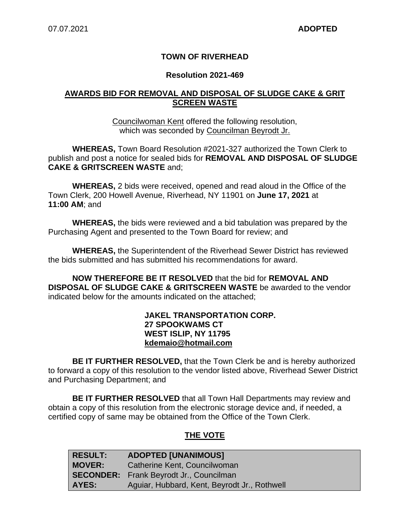# **TOWN OF RIVERHEAD**

## **Resolution 2021-469**

## **AWARDS BID FOR REMOVAL AND DISPOSAL OF SLUDGE CAKE & GRIT SCREEN WASTE**

Councilwoman Kent offered the following resolution, which was seconded by Councilman Beyrodt Jr.

**WHEREAS,** Town Board Resolution #2021-327 authorized the Town Clerk to publish and post a notice for sealed bids for **REMOVAL AND DISPOSAL OF SLUDGE CAKE & GRITSCREEN WASTE** and;

**WHEREAS,** 2 bids were received, opened and read aloud in the Office of the Town Clerk, 200 Howell Avenue, Riverhead, NY 11901 on **June 17, 2021** at **11:00 AM**; and

**WHEREAS,** the bids were reviewed and a bid tabulation was prepared by the Purchasing Agent and presented to the Town Board for review; and

**WHEREAS,** the Superintendent of the Riverhead Sewer District has reviewed the bids submitted and has submitted his recommendations for award.

**NOW THEREFORE BE IT RESOLVED** that the bid for **REMOVAL AND DISPOSAL OF SLUDGE CAKE & GRITSCREEN WASTE** be awarded to the vendor indicated below for the amounts indicated on the attached;

#### **JAKEL TRANSPORTATION CORP. 27 SPOOKWAMS CT WEST ISLIP, NY 11795 kdemaio@hotmail.com**

**BE IT FURTHER RESOLVED,** that the Town Clerk be and is hereby authorized to forward a copy of this resolution to the vendor listed above, Riverhead Sewer District and Purchasing Department; and

**BE IT FURTHER RESOLVED** that all Town Hall Departments may review and obtain a copy of this resolution from the electronic storage device and, if needed, a certified copy of same may be obtained from the Office of the Town Clerk.

# **THE VOTE**

| <b>RESULT:</b> | <b>ADOPTED [UNANIMOUS]</b>                     |
|----------------|------------------------------------------------|
| <b>MOVER:</b>  | Catherine Kent, Councilwoman                   |
|                | <b>SECONDER:</b> Frank Beyrodt Jr., Councilman |
| AYES:          | Aguiar, Hubbard, Kent, Beyrodt Jr., Rothwell   |